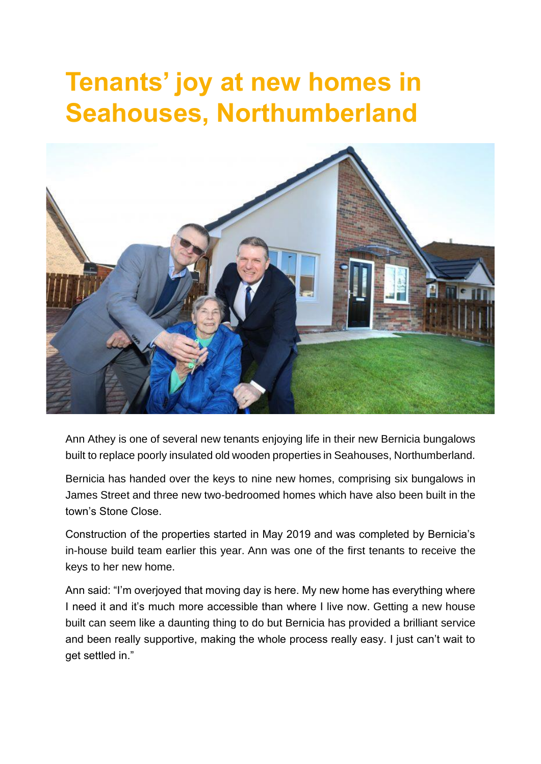## **Tenants' joy at new homes in Seahouses, Northumberland**



Ann Athey is one of several new tenants enjoying life in their new Bernicia bungalows built to replace poorly insulated old wooden properties in Seahouses, Northumberland.

Bernicia has handed over the keys to nine new homes, comprising six bungalows in James Street and three new two-bedroomed homes which have also been built in the town's Stone Close.

Construction of the properties started in May 2019 and was completed by Bernicia's in-house build team earlier this year. Ann was one of the first tenants to receive the keys to her new home.

Ann said: "I'm overjoyed that moving day is here. My new home has everything where I need it and it's much more accessible than where I live now. Getting a new house built can seem like a daunting thing to do but Bernicia has provided a brilliant service and been really supportive, making the whole process really easy. I just can't wait to get settled in."